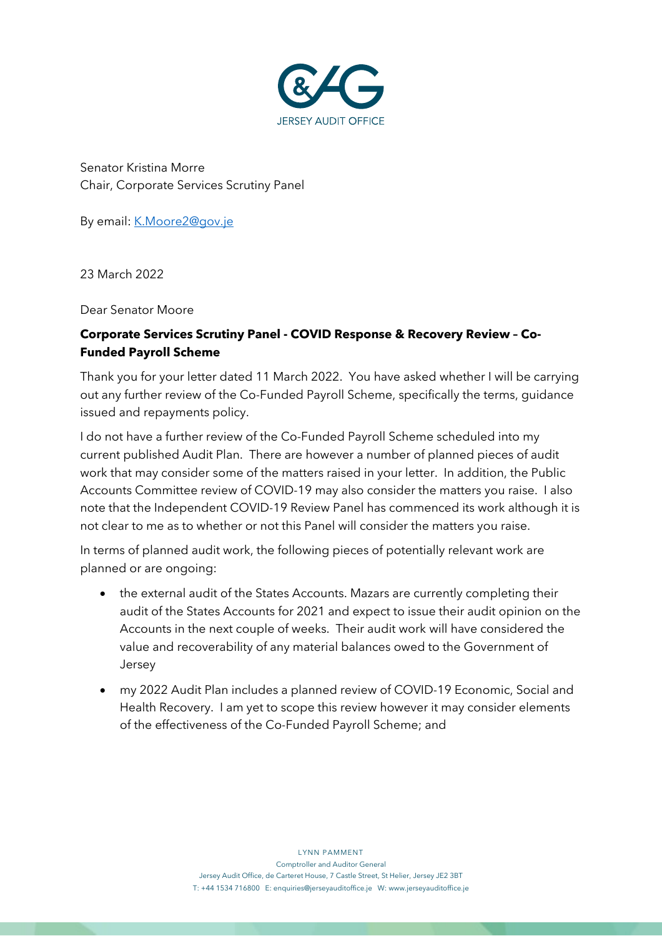

Senator Kristina Morre Chair, Corporate Services Scrutiny Panel

By email: *K.Moore2@gov.ie* 

23 March 2022

Dear Senator Moore

## **Corporate Services Scrutiny Panel - COVID Response & Recovery Review – Co-Funded Payroll Scheme**

Thank you for your letter dated 11 March 2022. You have asked whether I will be carrying out any further review of the Co-Funded Payroll Scheme, specifically the terms, guidance issued and repayments policy.

I do not have a further review of the Co-Funded Payroll Scheme scheduled into my current published Audit Plan. There are however a number of planned pieces of audit work that may consider some of the matters raised in your letter. In addition, the Public Accounts Committee review of COVID-19 may also consider the matters you raise. I also note that the Independent COVID-19 Review Panel has commenced its work although it is not clear to me as to whether or not this Panel will consider the matters you raise.

In terms of planned audit work, the following pieces of potentially relevant work are planned or are ongoing:

- the external audit of the States Accounts. Mazars are currently completing their audit of the States Accounts for 2021 and expect to issue their audit opinion on the Accounts in the next couple of weeks. Their audit work will have considered the value and recoverability of any material balances owed to the Government of Jersey
- my 2022 Audit Plan includes a planned review of COVID-19 Economic, Social and Health Recovery. I am yet to scope this review however it may consider elements of the effectiveness of the Co-Funded Payroll Scheme; and